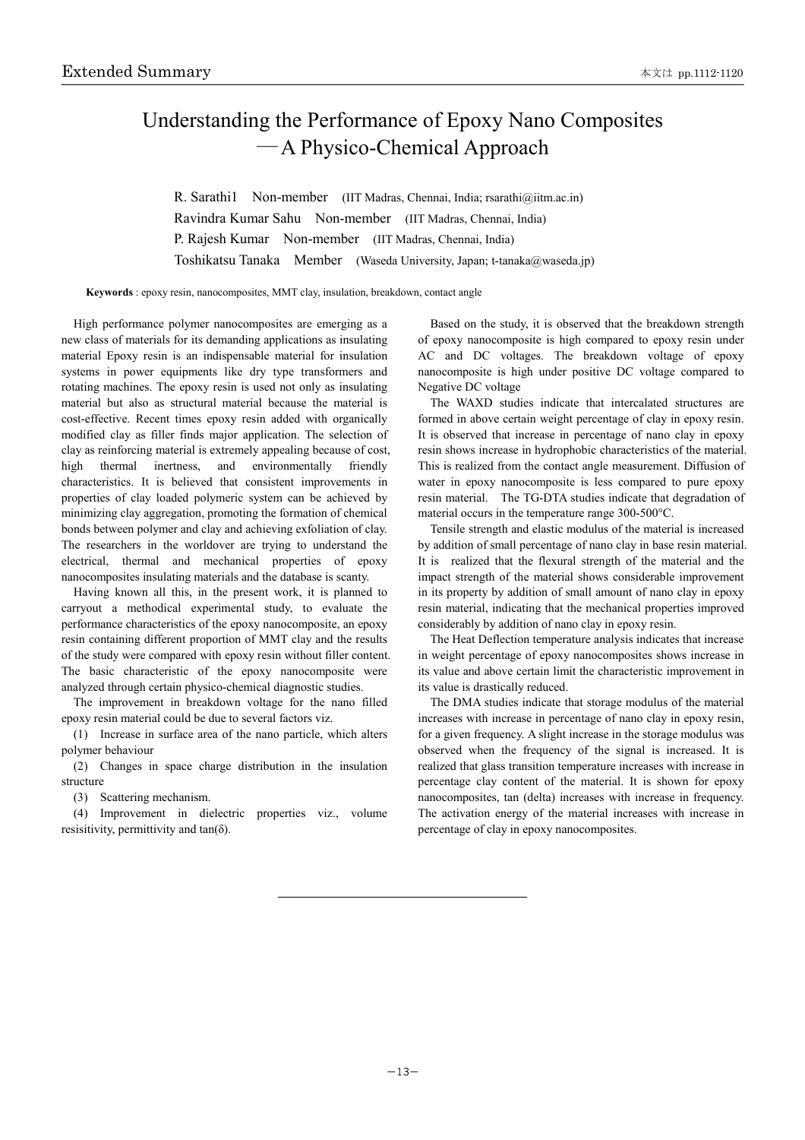## Understanding the Performance of Epoxy Nano Composites ―A Physico-Chemical Approach

R. Sarathi1 Non-member (IIT Madras, Chennai, India; rsarathi@iitm.ac.in) Ravindra Kumar Sahu Non-member (IIT Madras, Chennai, India) P. Rajesh Kumar Non-member (IIT Madras, Chennai, India) Toshikatsu Tanaka Member (Waseda University, Japan; t-tanaka@waseda.jp)

**Keywords** : epoxy resin, nanocomposites, MMT clay, insulation, breakdown, contact angle

High performance polymer nanocomposites are emerging as a new class of materials for its demanding applications as insulating material Epoxy resin is an indispensable material for insulation systems in power equipments like dry type transformers and rotating machines. The epoxy resin is used not only as insulating material but also as structural material because the material is cost-effective. Recent times epoxy resin added with organically modified clay as filler finds major application. The selection of clay as reinforcing material is extremely appealing because of cost, high thermal inertness, and environmentally friendly characteristics. It is believed that consistent improvements in properties of clay loaded polymeric system can be achieved by minimizing clay aggregation, promoting the formation of chemical bonds between polymer and clay and achieving exfoliation of clay. The researchers in the worldover are trying to understand the electrical, thermal and mechanical properties of epoxy nanocomposites insulating materials and the database is scanty.

Having known all this, in the present work, it is planned to carryout a methodical experimental study, to evaluate the performance characteristics of the epoxy nanocomposite, an epoxy resin containing different proportion of MMT clay and the results of the study were compared with epoxy resin without filler content. The basic characteristic of the epoxy nanocomposite were analyzed through certain physico-chemical diagnostic studies.

The improvement in breakdown voltage for the nano filled epoxy resin material could be due to several factors viz.

(1) Increase in surface area of the nano particle, which alters polymer behaviour

(2) Changes in space charge distribution in the insulation structure

(3) Scattering mechanism.

(4) Improvement in dielectric properties viz., volume resisitivity, permittivity and  $tan(\delta)$ .

Based on the study, it is observed that the breakdown strength of epoxy nanocomposite is high compared to epoxy resin under AC and DC voltages. The breakdown voltage of epoxy nanocomposite is high under positive DC voltage compared to Negative DC voltage

The WAXD studies indicate that intercalated structures are formed in above certain weight percentage of clay in epoxy resin. It is observed that increase in percentage of nano clay in epoxy resin shows increase in hydrophobic characteristics of the material. This is realized from the contact angle measurement. Diffusion of water in epoxy nanocomposite is less compared to pure epoxy resin material. The TG-DTA studies indicate that degradation of material occurs in the temperature range 300-500°C.

Tensile strength and elastic modulus of the material is increased by addition of small percentage of nano clay in base resin material. It is realized that the flexural strength of the material and the impact strength of the material shows considerable improvement in its property by addition of small amount of nano clay in epoxy resin material, indicating that the mechanical properties improved considerably by addition of nano clay in epoxy resin.

The Heat Deflection temperature analysis indicates that increase in weight percentage of epoxy nanocomposites shows increase in its value and above certain limit the characteristic improvement in its value is drastically reduced.

The DMA studies indicate that storage modulus of the material increases with increase in percentage of nano clay in epoxy resin, for a given frequency. A slight increase in the storage modulus was observed when the frequency of the signal is increased. It is realized that glass transition temperature increases with increase in percentage clay content of the material. It is shown for epoxy nanocomposites, tan (delta) increases with increase in frequency. The activation energy of the material increases with increase in percentage of clay in epoxy nanocomposites.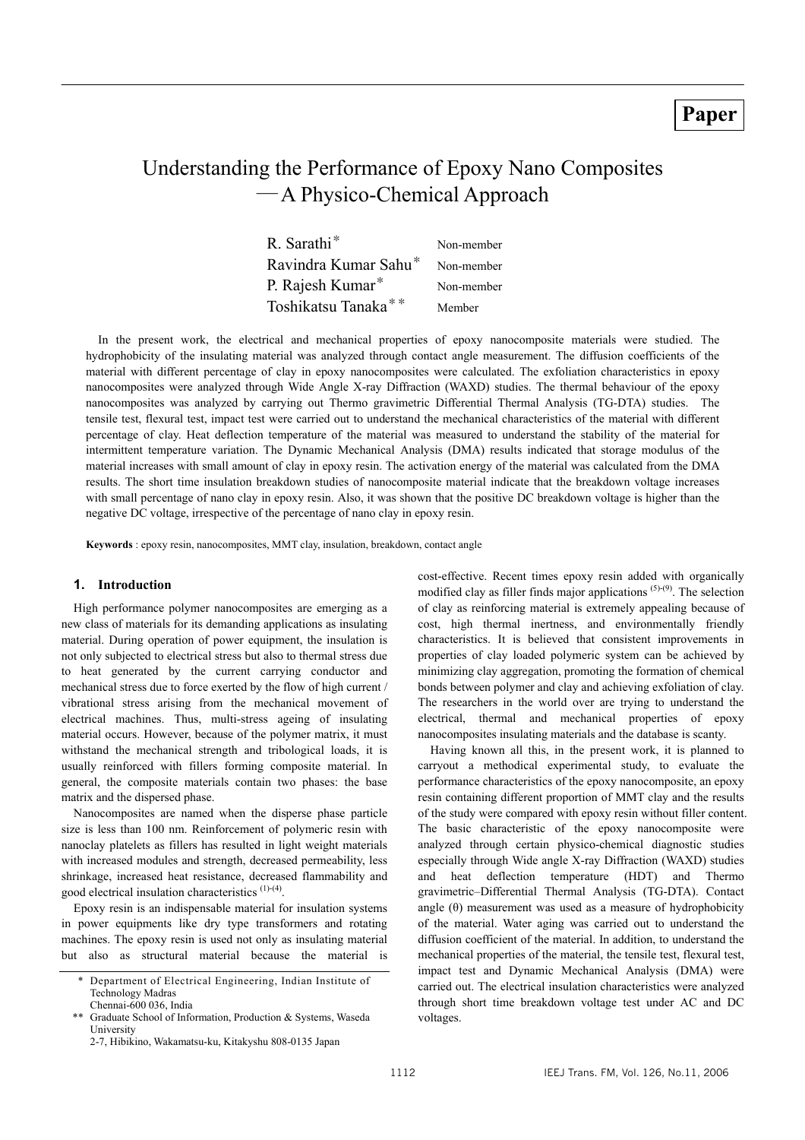## **Paper**

# Understanding the Performance of Epoxy Nano Composites ―A Physico-Chemical Approach

| R. Sarathi <sup>*</sup>          | Non-member |
|----------------------------------|------------|
| Ravindra Kumar Sahu <sup>*</sup> | Non-member |
| P. Rajesh Kumar*                 | Non-member |
| Toshikatsu Tanaka**              | Member     |

In the present work, the electrical and mechanical properties of epoxy nanocomposite materials were studied. The hydrophobicity of the insulating material was analyzed through contact angle measurement. The diffusion coefficients of the material with different percentage of clay in epoxy nanocomposites were calculated. The exfoliation characteristics in epoxy nanocomposites were analyzed through Wide Angle X-ray Diffraction (WAXD) studies. The thermal behaviour of the epoxy nanocomposites was analyzed by carrying out Thermo gravimetric Differential Thermal Analysis (TG-DTA) studies. The tensile test, flexural test, impact test were carried out to understand the mechanical characteristics of the material with different percentage of clay. Heat deflection temperature of the material was measured to understand the stability of the material for intermittent temperature variation. The Dynamic Mechanical Analysis (DMA) results indicated that storage modulus of the material increases with small amount of clay in epoxy resin. The activation energy of the material was calculated from the DMA results. The short time insulation breakdown studies of nanocomposite material indicate that the breakdown voltage increases with small percentage of nano clay in epoxy resin. Also, it was shown that the positive DC breakdown voltage is higher than the negative DC voltage, irrespective of the percentage of nano clay in epoxy resin.

**Keywords** : epoxy resin, nanocomposites, MMT clay, insulation, breakdown, contact angle

### **1. Introduction**

High performance polymer nanocomposites are emerging as a new class of materials for its demanding applications as insulating material. During operation of power equipment, the insulation is not only subjected to electrical stress but also to thermal stress due to heat generated by the current carrying conductor and mechanical stress due to force exerted by the flow of high current / vibrational stress arising from the mechanical movement of electrical machines. Thus, multi-stress ageing of insulating material occurs. However, because of the polymer matrix, it must withstand the mechanical strength and tribological loads, it is usually reinforced with fillers forming composite material. In general, the composite materials contain two phases: the base matrix and the dispersed phase.

Nanocomposites are named when the disperse phase particle size is less than 100 nm. Reinforcement of polymeric resin with nanoclay platelets as fillers has resulted in light weight materials with increased modules and strength, decreased permeability, less shrinkage, increased heat resistance, decreased flammability and good electrical insulation characteristics (1)-(4).

Epoxy resin is an indispensable material for insulation systems in power equipments like dry type transformers and rotating machines. The epoxy resin is used not only as insulating material but also as structural material because the material is

cost-effective. Recent times epoxy resin added with organically modified clay as filler finds major applications  $(5)-(9)$ . The selection of clay as reinforcing material is extremely appealing because of cost, high thermal inertness, and environmentally friendly characteristics. It is believed that consistent improvements in properties of clay loaded polymeric system can be achieved by minimizing clay aggregation, promoting the formation of chemical bonds between polymer and clay and achieving exfoliation of clay. The researchers in the world over are trying to understand the electrical, thermal and mechanical properties of epoxy nanocomposites insulating materials and the database is scanty.

Having known all this, in the present work, it is planned to carryout a methodical experimental study, to evaluate the performance characteristics of the epoxy nanocomposite, an epoxy resin containing different proportion of MMT clay and the results of the study were compared with epoxy resin without filler content. The basic characteristic of the epoxy nanocomposite were analyzed through certain physico-chemical diagnostic studies especially through Wide angle X-ray Diffraction (WAXD) studies and heat deflection temperature (HDT) and Thermo gravimetric–Differential Thermal Analysis (TG-DTA). Contact angle  $(\theta)$  measurement was used as a measure of hydrophobicity of the material. Water aging was carried out to understand the diffusion coefficient of the material. In addition, to understand the mechanical properties of the material, the tensile test, flexural test, impact test and Dynamic Mechanical Analysis (DMA) were carried out. The electrical insulation characteristics were analyzed through short time breakdown voltage test under AC and DC voltages.

Department of Electrical Engineering, Indian Institute of Technology Madras Chennai-600 036, India

Graduate School of Information, Production & Systems, Waseda University

<sup>2-7,</sup> Hibikino, Wakamatsu-ku, Kitakyshu 808-0135 Japan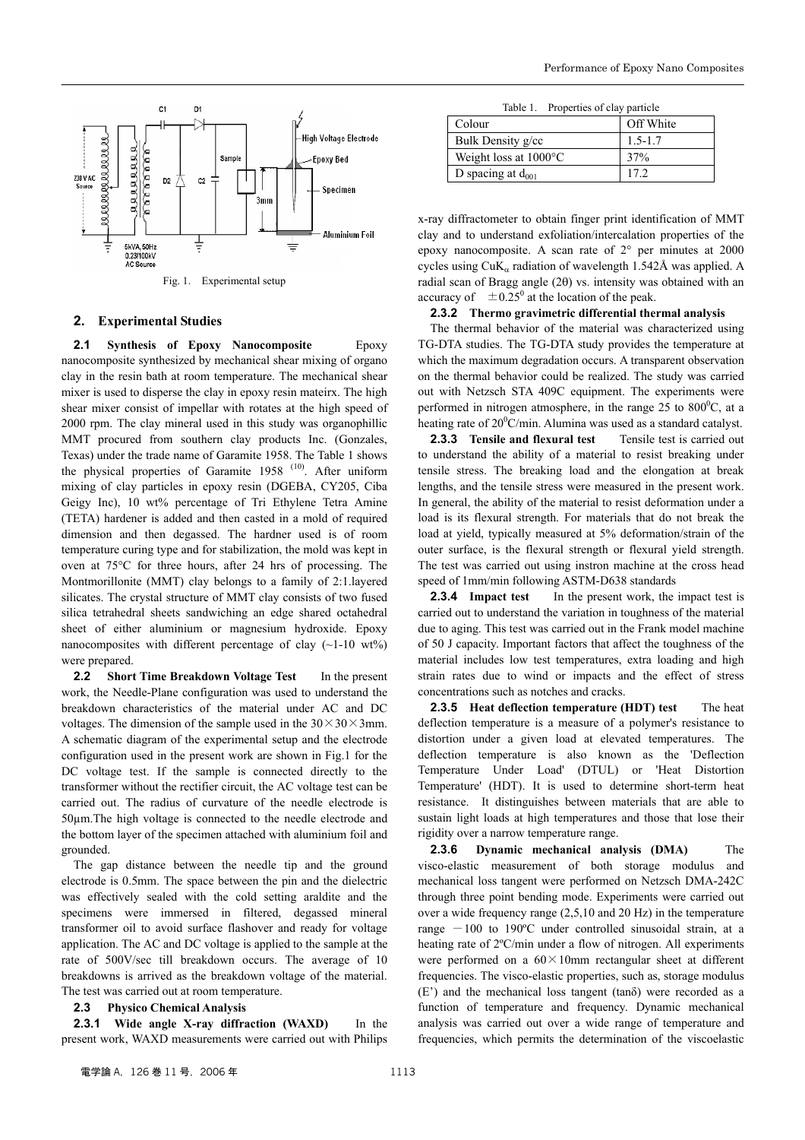

Fig. 1. Experimental setup

#### **2. Experimental Studies**

**2.1 Synthesis of Epoxy Nanocomposite** Epoxy nanocomposite synthesized by mechanical shear mixing of organo clay in the resin bath at room temperature. The mechanical shear mixer is used to disperse the clay in epoxy resin mateirx. The high shear mixer consist of impellar with rotates at the high speed of 2000 rpm. The clay mineral used in this study was organophillic MMT procured from southern clay products Inc. (Gonzales, Texas) under the trade name of Garamite 1958. The Table 1 shows the physical properties of Garamite  $1958$ <sup>(10)</sup>. After uniform mixing of clay particles in epoxy resin (DGEBA, CY205, Ciba Geigy Inc), 10 wt% percentage of Tri Ethylene Tetra Amine (TETA) hardener is added and then casted in a mold of required dimension and then degassed. The hardner used is of room temperature curing type and for stabilization, the mold was kept in oven at 75°C for three hours, after 24 hrs of processing. The Montmorillonite (MMT) clay belongs to a family of 2:1.layered silicates. The crystal structure of MMT clay consists of two fused silica tetrahedral sheets sandwiching an edge shared octahedral sheet of either aluminium or magnesium hydroxide. Epoxy nanocomposites with different percentage of clay  $(\sim1-10 \text{ wt\%})$ were prepared.

**2.2 Short Time Breakdown Voltage Test** In the present work, the Needle-Plane configuration was used to understand the breakdown characteristics of the material under AC and DC voltages. The dimension of the sample used in the  $30 \times 30 \times 3$ mm. A schematic diagram of the experimental setup and the electrode configuration used in the present work are shown in Fig.1 for the DC voltage test. If the sample is connected directly to the transformer without the rectifier circuit, the AC voltage test can be carried out. The radius of curvature of the needle electrode is 50µm.The high voltage is connected to the needle electrode and the bottom layer of the specimen attached with aluminium foil and grounded.

The gap distance between the needle tip and the ground electrode is 0.5mm. The space between the pin and the dielectric was effectively sealed with the cold setting araldite and the specimens were immersed in filtered, degassed mineral transformer oil to avoid surface flashover and ready for voltage application. The AC and DC voltage is applied to the sample at the rate of 500V/sec till breakdown occurs. The average of 10 breakdowns is arrived as the breakdown voltage of the material. The test was carried out at room temperature.

#### **2.3 Physico Chemical Analysis**

**2.3.1 Wide angle X-ray diffraction (WAXD)** In the present work, WAXD measurements were carried out with Philips

| Table 1. | Properties of clay particle |  |
|----------|-----------------------------|--|
|          |                             |  |

| Colour                          | Off White   |
|---------------------------------|-------------|
| Bulk Density g/cc               | $1.5 - 1.7$ |
| Weight loss at $1000^{\circ}$ C | 37%         |
| D spacing at $d_{001}$          | 17 2        |

x-ray diffractometer to obtain finger print identification of MMT clay and to understand exfoliation/intercalation properties of the epoxy nanocomposite. A scan rate of 2° per minutes at 2000 cycles using  $CuK_a$  radiation of wavelength 1.542Å was applied. A radial scan of Bragg angle (2θ) vs. intensity was obtained with an accuracy of  $\pm 0.25^{\circ}$  at the location of the peak.

#### **2.3.2 Thermo gravimetric differential thermal analysis**

The thermal behavior of the material was characterized using TG-DTA studies. The TG-DTA study provides the temperature at which the maximum degradation occurs. A transparent observation on the thermal behavior could be realized. The study was carried out with Netzsch STA 409C equipment. The experiments were performed in nitrogen atmosphere, in the range  $25$  to  $800^{\circ}$ C, at a heating rate of  $20^0$ C/min. Alumina was used as a standard catalyst.

**2.3.3 Tensile and flexural test** Tensile test is carried out to understand the ability of a material to resist breaking under tensile stress. The breaking load and the elongation at break lengths, and the tensile stress were measured in the present work. In general, the ability of the material to resist deformation under a load is its flexural strength. For materials that do not break the load at yield, typically measured at 5% deformation/strain of the outer surface, is the flexural strength or flexural yield strength. The test was carried out using instron machine at the cross head speed of 1mm/min following ASTM-D638 standards

**2.3.4 Impact test** In the present work, the impact test is carried out to understand the variation in toughness of the material due to aging. This test was carried out in the Frank model machine of 50 J capacity. Important factors that affect the toughness of the material includes low test temperatures, extra loading and high strain rates due to wind or impacts and the effect of stress concentrations such as notches and cracks.

**2.3.5 Heat deflection temperature (HDT) test** The heat deflection temperature is a measure of a polymer's resistance to distortion under a given load at elevated temperatures. The deflection temperature is also known as the 'Deflection Temperature Under Load' (DTUL) or 'Heat Distortion Temperature' (HDT). It is used to determine short-term heat resistance. It distinguishes between materials that are able to sustain light loads at high temperatures and those that lose their rigidity over a narrow temperature range.

**2.3.6 Dynamic mechanical analysis (DMA)** The visco-elastic measurement of both storage modulus and mechanical loss tangent were performed on Netzsch DMA-242C through three point bending mode. Experiments were carried out over a wide frequency range (2,5,10 and 20 Hz) in the temperature range  $-100$  to 190°C under controlled sinusoidal strain, at a heating rate of 2ºC/min under a flow of nitrogen. All experiments were performed on a  $60 \times 10$ mm rectangular sheet at different frequencies. The visco-elastic properties, such as, storage modulus  $(E')$  and the mechanical loss tangent (tan $\delta$ ) were recorded as a function of temperature and frequency. Dynamic mechanical analysis was carried out over a wide range of temperature and frequencies, which permits the determination of the viscoelastic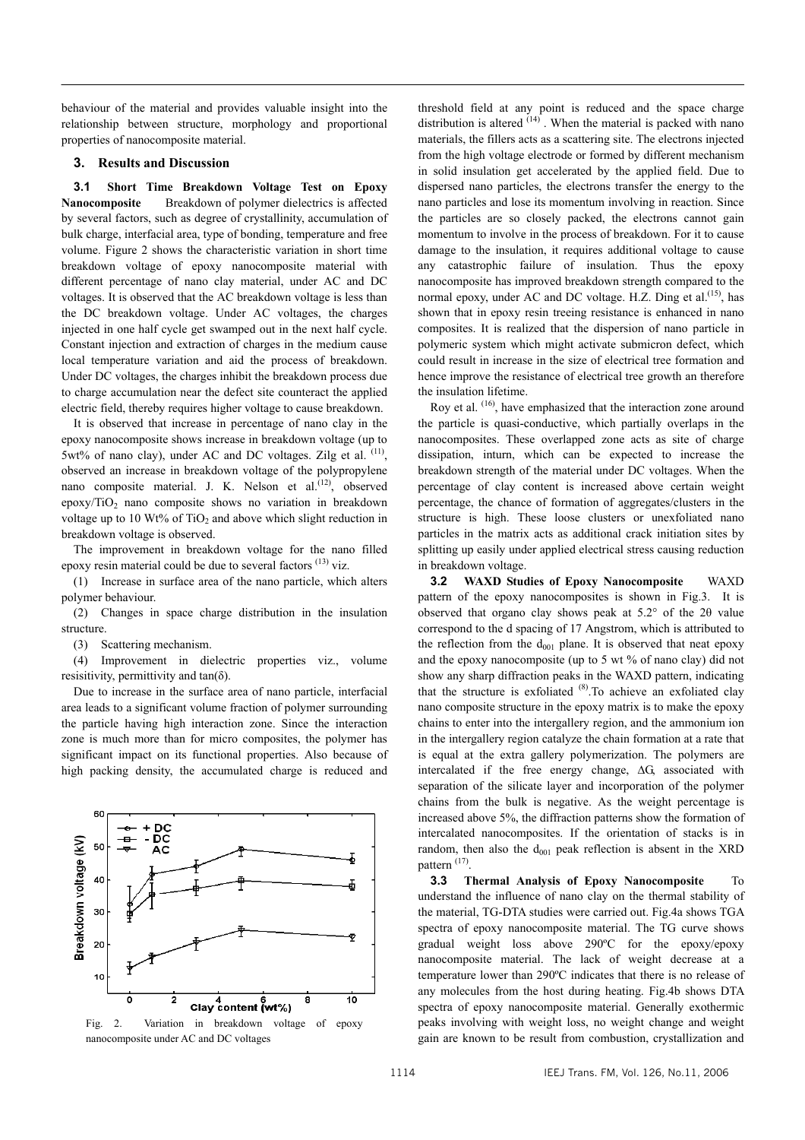behaviour of the material and provides valuable insight into the relationship between structure, morphology and proportional properties of nanocomposite material.

### **3. Results and Discussion**

**3.1 Short Time Breakdown Voltage Test on Epoxy Nanocomposite** Breakdown of polymer dielectrics is affected by several factors, such as degree of crystallinity, accumulation of bulk charge, interfacial area, type of bonding, temperature and free volume. Figure 2 shows the characteristic variation in short time breakdown voltage of epoxy nanocomposite material with different percentage of nano clay material, under AC and DC voltages. It is observed that the AC breakdown voltage is less than the DC breakdown voltage. Under AC voltages, the charges injected in one half cycle get swamped out in the next half cycle. Constant injection and extraction of charges in the medium cause local temperature variation and aid the process of breakdown. Under DC voltages, the charges inhibit the breakdown process due to charge accumulation near the defect site counteract the applied electric field, thereby requires higher voltage to cause breakdown.

It is observed that increase in percentage of nano clay in the epoxy nanocomposite shows increase in breakdown voltage (up to 5wt% of nano clay), under AC and DC voltages. Zilg et al. (11), observed an increase in breakdown voltage of the polypropylene nano composite material. J. K. Nelson et al. $^{(12)}$ , observed epoxy/ $TiO<sub>2</sub>$  nano composite shows no variation in breakdown voltage up to 10 Wt% of  $TiO<sub>2</sub>$  and above which slight reduction in breakdown voltage is observed.

The improvement in breakdown voltage for the nano filled epoxy resin material could be due to several factors <sup>(13)</sup> viz.

(1) Increase in surface area of the nano particle, which alters polymer behaviour.

(2) Changes in space charge distribution in the insulation structure.

(3) Scattering mechanism.

(4) Improvement in dielectric properties viz., volume resisitivity, permittivity and  $tan(\delta)$ .

Due to increase in the surface area of nano particle, interfacial area leads to a significant volume fraction of polymer surrounding the particle having high interaction zone. Since the interaction zone is much more than for micro composites, the polymer has significant impact on its functional properties. Also because of high packing density, the accumulated charge is reduced and



threshold field at any point is reduced and the space charge distribution is altered  $(14)$ . When the material is packed with nano materials, the fillers acts as a scattering site. The electrons injected from the high voltage electrode or formed by different mechanism in solid insulation get accelerated by the applied field. Due to dispersed nano particles, the electrons transfer the energy to the nano particles and lose its momentum involving in reaction. Since the particles are so closely packed, the electrons cannot gain momentum to involve in the process of breakdown. For it to cause damage to the insulation, it requires additional voltage to cause any catastrophic failure of insulation. Thus the epoxy nanocomposite has improved breakdown strength compared to the normal epoxy, under AC and DC voltage. H.Z. Ding et al. $(15)$ , has shown that in epoxy resin treeing resistance is enhanced in nano composites. It is realized that the dispersion of nano particle in polymeric system which might activate submicron defect, which could result in increase in the size of electrical tree formation and hence improve the resistance of electrical tree growth an therefore the insulation lifetime.

Roy et al. <sup>(16)</sup>, have emphasized that the interaction zone around the particle is quasi-conductive, which partially overlaps in the nanocomposites. These overlapped zone acts as site of charge dissipation, inturn, which can be expected to increase the breakdown strength of the material under DC voltages. When the percentage of clay content is increased above certain weight percentage, the chance of formation of aggregates/clusters in the structure is high. These loose clusters or unexfoliated nano particles in the matrix acts as additional crack initiation sites by splitting up easily under applied electrical stress causing reduction in breakdown voltage.

**3.2 WAXD Studies of Epoxy Nanocomposite** WAXD pattern of the epoxy nanocomposites is shown in Fig.3. It is observed that organo clay shows peak at 5.2° of the 2θ value correspond to the d spacing of 17 Angstrom, which is attributed to the reflection from the  $d_{001}$  plane. It is observed that neat epoxy and the epoxy nanocomposite (up to 5 wt % of nano clay) did not show any sharp diffraction peaks in the WAXD pattern, indicating that the structure is exfoliated  $(8)$ . To achieve an exfoliated clay nano composite structure in the epoxy matrix is to make the epoxy chains to enter into the intergallery region, and the ammonium ion in the intergallery region catalyze the chain formation at a rate that is equal at the extra gallery polymerization. The polymers are intercalated if the free energy change, ∆G, associated with separation of the silicate layer and incorporation of the polymer chains from the bulk is negative. As the weight percentage is increased above 5%, the diffraction patterns show the formation of intercalated nanocomposites. If the orientation of stacks is in random, then also the  $d_{001}$  peak reflection is absent in the XRD pattern<sup>(17)</sup>.

**3.3 Thermal Analysis of Epoxy Nanocomposite** To understand the influence of nano clay on the thermal stability of the material, TG-DTA studies were carried out. Fig.4a shows TGA spectra of epoxy nanocomposite material. The TG curve shows gradual weight loss above 290ºC for the epoxy/epoxy nanocomposite material. The lack of weight decrease at a temperature lower than 290ºC indicates that there is no release of any molecules from the host during heating. Fig.4b shows DTA spectra of epoxy nanocomposite material. Generally exothermic peaks involving with weight loss, no weight change and weight gain are known to be result from combustion, crystallization and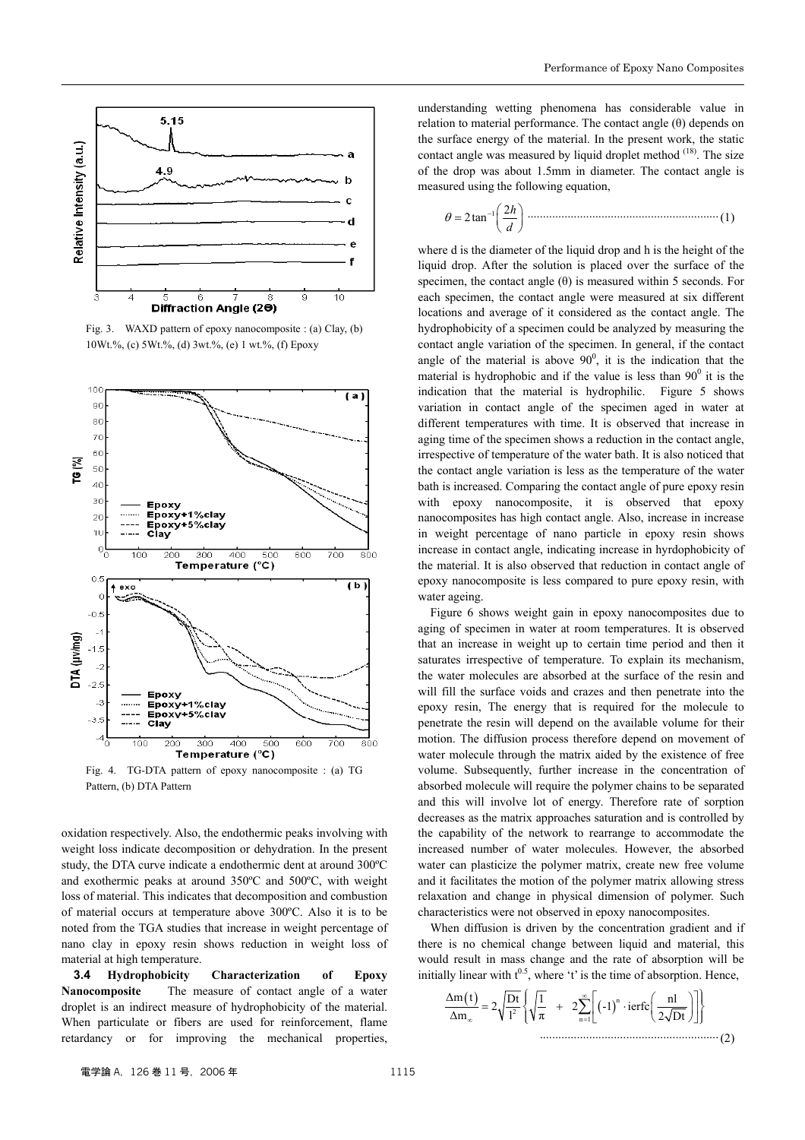

Fig. 3. WAXD pattern of epoxy nanocomposite : (a) Clay, (b) 10Wt.%, (c) 5Wt.%, (d) 3wt.%, (e) 1 wt.%, (f) Epoxy



Fig. 4. TG-DTA pattern of epoxy nanocomposite : (a) TG Pattern, (b) DTA Pattern

oxidation respectively. Also, the endothermic peaks involving with weight loss indicate decomposition or dehydration. In the present study, the DTA curve indicate a endothermic dent at around 300ºC and exothermic peaks at around 350ºC and 500ºC, with weight loss of material. This indicates that decomposition and combustion of material occurs at temperature above 300ºC. Also it is to be noted from the TGA studies that increase in weight percentage of nano clay in epoxy resin shows reduction in weight loss of material at high temperature.

**3.4 Hydrophobicity Characterization of Epoxy Nanocomposite** The measure of contact angle of a water droplet is an indirect measure of hydrophobicity of the material. When particulate or fibers are used for reinforcement, flame retardancy or for improving the mechanical properties,

understanding wetting phenomena has considerable value in relation to material performance. The contact angle (θ) depends on the surface energy of the material. In the present work, the static contact angle was measured by liquid droplet method <sup>(18)</sup>. The size of the drop was about 1.5mm in diameter. The contact angle is measured using the following equation,

<sup>1</sup> <sup>2</sup> 2tan *<sup>h</sup> d* <sup>θ</sup> <sup>−</sup> <sup>=</sup> ..............................................................(1)

where d is the diameter of the liquid drop and h is the height of the liquid drop. After the solution is placed over the surface of the specimen, the contact angle  $(\theta)$  is measured within 5 seconds. For each specimen, the contact angle were measured at six different locations and average of it considered as the contact angle. The hydrophobicity of a specimen could be analyzed by measuring the contact angle variation of the specimen. In general, if the contact angle of the material is above  $90^0$ , it is the indication that the material is hydrophobic and if the value is less than  $90^{\circ}$  it is the indication that the material is hydrophilic. Figure 5 shows variation in contact angle of the specimen aged in water at different temperatures with time. It is observed that increase in aging time of the specimen shows a reduction in the contact angle, irrespective of temperature of the water bath. It is also noticed that the contact angle variation is less as the temperature of the water bath is increased. Comparing the contact angle of pure epoxy resin with epoxy nanocomposite, it is observed that epoxy nanocomposites has high contact angle. Also, increase in increase in weight percentage of nano particle in epoxy resin shows increase in contact angle, indicating increase in hyrdophobicity of the material. It is also observed that reduction in contact angle of epoxy nanocomposite is less compared to pure epoxy resin, with water ageing.

Figure 6 shows weight gain in epoxy nanocomposites due to aging of specimen in water at room temperatures. It is observed that an increase in weight up to certain time period and then it saturates irrespective of temperature. To explain its mechanism, the water molecules are absorbed at the surface of the resin and will fill the surface voids and crazes and then penetrate into the epoxy resin, The energy that is required for the molecule to penetrate the resin will depend on the available volume for their motion. The diffusion process therefore depend on movement of water molecule through the matrix aided by the existence of free volume. Subsequently, further increase in the concentration of absorbed molecule will require the polymer chains to be separated and this will involve lot of energy. Therefore rate of sorption decreases as the matrix approaches saturation and is controlled by the capability of the network to rearrange to accommodate the increased number of water molecules. However, the absorbed water can plasticize the polymer matrix, create new free volume and it facilitates the motion of the polymer matrix allowing stress relaxation and change in physical dimension of polymer. Such characteristics were not observed in epoxy nanocomposites.

When diffusion is driven by the concentration gradient and if there is no chemical change between liquid and material, this would result in mass change and the rate of absorption will be initially linear with  $t^{0.5}$ , where 't' is the time of absorption. Hence,

$$
\frac{\Delta m(t)}{\Delta m_{\infty}} = 2\sqrt{\frac{Dt}{l^2}} \left\{ \sqrt{\frac{1}{\pi}} + 2\sum_{n=1}^{\infty} \left[ (-1)^n \cdot \text{ierfc}\left(\frac{n l}{2\sqrt{Dt}}\right) \right] \right\}
$$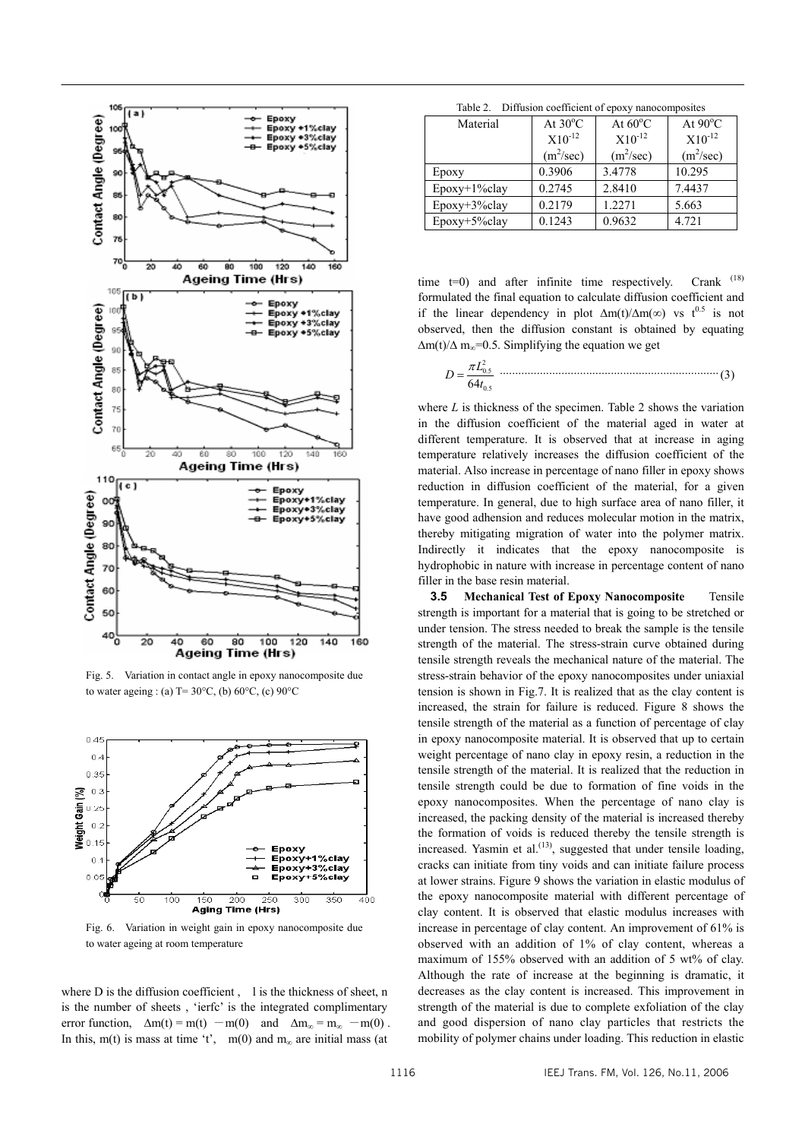

Fig. 5. Variation in contact angle in epoxy nanocomposite due to water ageing : (a)  $T = 30^{\circ}$ C, (b)  $60^{\circ}$ C, (c)  $90^{\circ}$ C



Fig. 6. Variation in weight gain in epoxy nanocomposite due to water ageing at room temperature

where D is the diffusion coefficient, l is the thickness of sheet, n is the number of sheets , 'ierfc' is the integrated complimentary error function,  $\Delta m(t) = m(t) - m(0)$  and  $\Delta m_\infty = m_\infty - m(0)$ . In this, m(t) is mass at time 't', m(0) and m<sub>∞</sub> are initial mass (at

Table 2. Diffusion coefficient of epoxy nanocomposites

| $10010 = 1$ . Determinately constructively the profit interaction of $1000$ |                   |                   |                   |
|-----------------------------------------------------------------------------|-------------------|-------------------|-------------------|
| Material                                                                    | At $30^{\circ}$ C | At $60^{\circ}$ C | At $90^{\circ}$ C |
|                                                                             | $X10^{-12}$       | $X10^{-12}$       | $X10^{-12}$       |
|                                                                             | $(m^2/sec)$       | $(m^2/sec)$       | $(m^2/sec)$       |
| Epoxy                                                                       | 0.3906            | 3.4778            | 10.295            |
| $E$ poxy+1%clay                                                             | 0.2745            | 2.8410            | 7.4437            |
| $Epoxy+3\%clay$                                                             | 0.2179            | 1.2271            | 5.663             |
| $E$ poxy+5%clay                                                             | 0.1243            | 0.9632            | 4.721             |

time  $t=0$ ) and after infinite time respectively. Crank  $(18)$ formulated the final equation to calculate diffusion coefficient and if the linear dependency in plot  $\Delta m(t)/\Delta m(\infty)$  vs t<sup>0.5</sup> is not observed, then the diffusion constant is obtained by equating  $\Delta m(t)/\Delta m_{\infty}$ =0.5. Simplifying the equation we get

$$
D = \frac{\pi L_{0.5}^2}{64t_{0.5}}
$$
 (3)

where *L* is thickness of the specimen. Table 2 shows the variation in the diffusion coefficient of the material aged in water at different temperature. It is observed that at increase in aging temperature relatively increases the diffusion coefficient of the material. Also increase in percentage of nano filler in epoxy shows reduction in diffusion coefficient of the material, for a given temperature. In general, due to high surface area of nano filler, it have good adhension and reduces molecular motion in the matrix, thereby mitigating migration of water into the polymer matrix. Indirectly it indicates that the epoxy nanocomposite is hydrophobic in nature with increase in percentage content of nano filler in the base resin material.

**3.5 Mechanical Test of Epoxy Nanocomposite** Tensile strength is important for a material that is going to be stretched or under tension. The stress needed to break the sample is the tensile strength of the material. The stress-strain curve obtained during tensile strength reveals the mechanical nature of the material. The stress-strain behavior of the epoxy nanocomposites under uniaxial tension is shown in Fig.7. It is realized that as the clay content is increased, the strain for failure is reduced. Figure 8 shows the tensile strength of the material as a function of percentage of clay in epoxy nanocomposite material. It is observed that up to certain weight percentage of nano clay in epoxy resin, a reduction in the tensile strength of the material. It is realized that the reduction in tensile strength could be due to formation of fine voids in the epoxy nanocomposites. When the percentage of nano clay is increased, the packing density of the material is increased thereby the formation of voids is reduced thereby the tensile strength is increased. Yasmin et al. $^{(13)}$ , suggested that under tensile loading, cracks can initiate from tiny voids and can initiate failure process at lower strains. Figure 9 shows the variation in elastic modulus of the epoxy nanocomposite material with different percentage of clay content. It is observed that elastic modulus increases with increase in percentage of clay content. An improvement of 61% is observed with an addition of 1% of clay content, whereas a maximum of 155% observed with an addition of 5 wt% of clay. Although the rate of increase at the beginning is dramatic, it decreases as the clay content is increased. This improvement in strength of the material is due to complete exfoliation of the clay and good dispersion of nano clay particles that restricts the mobility of polymer chains under loading. This reduction in elastic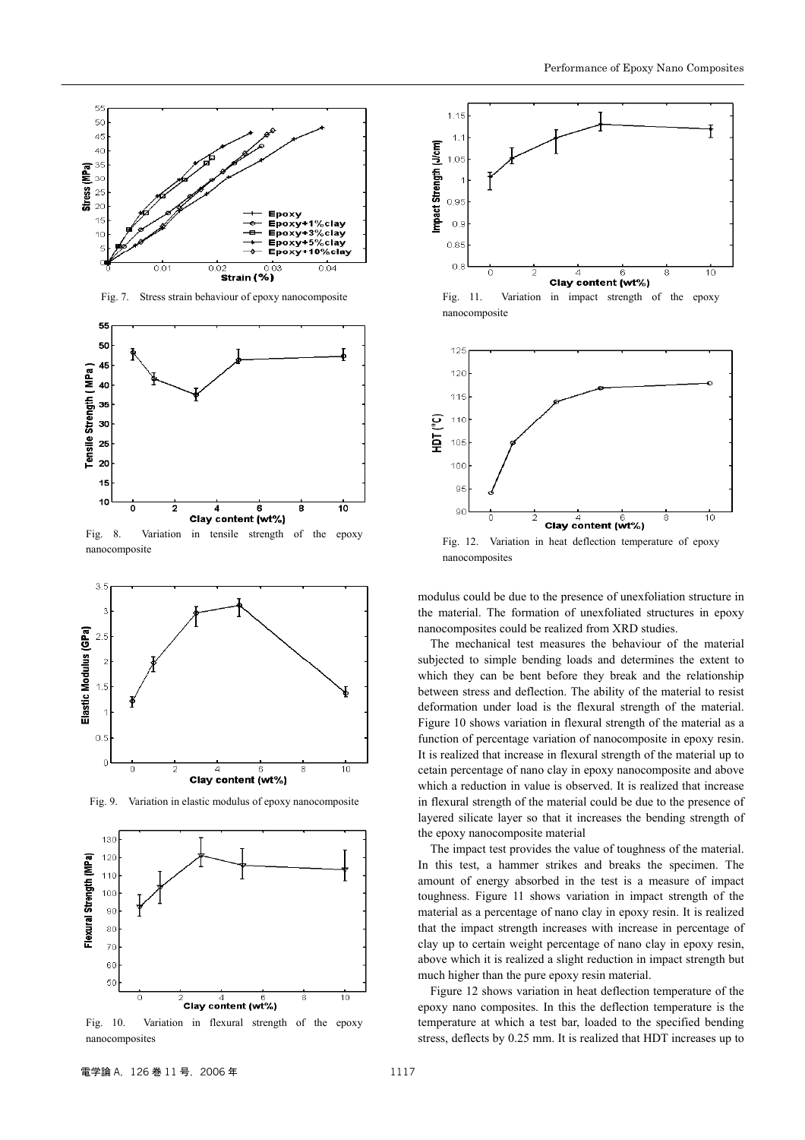

Fig. 9. Variation in elastic modulus of epoxy nanocomposite

Clay content (wt%)



Fig. 10. Variation in flexural strength of the epoxy nanocomposites



Fig. 11. Variation in impact strength of the epoxy nanocomposite



Fig. 12. Variation in heat deflection temperature of epoxy nanocomposites

modulus could be due to the presence of unexfoliation structure in the material. The formation of unexfoliated structures in epoxy nanocomposites could be realized from XRD studies.

The mechanical test measures the behaviour of the material subjected to simple bending loads and determines the extent to which they can be bent before they break and the relationship between stress and deflection. The ability of the material to resist deformation under load is the flexural strength of the material. Figure 10 shows variation in flexural strength of the material as a function of percentage variation of nanocomposite in epoxy resin. It is realized that increase in flexural strength of the material up to cetain percentage of nano clay in epoxy nanocomposite and above which a reduction in value is observed. It is realized that increase in flexural strength of the material could be due to the presence of layered silicate layer so that it increases the bending strength of the epoxy nanocomposite material

The impact test provides the value of toughness of the material. In this test, a hammer strikes and breaks the specimen. The amount of energy absorbed in the test is a measure of impact toughness. Figure 11 shows variation in impact strength of the material as a percentage of nano clay in epoxy resin. It is realized that the impact strength increases with increase in percentage of clay up to certain weight percentage of nano clay in epoxy resin, above which it is realized a slight reduction in impact strength but much higher than the pure epoxy resin material.

Figure 12 shows variation in heat deflection temperature of the epoxy nano composites. In this the deflection temperature is the temperature at which a test bar, loaded to the specified bending stress, deflects by 0.25 mm. It is realized that HDT increases up to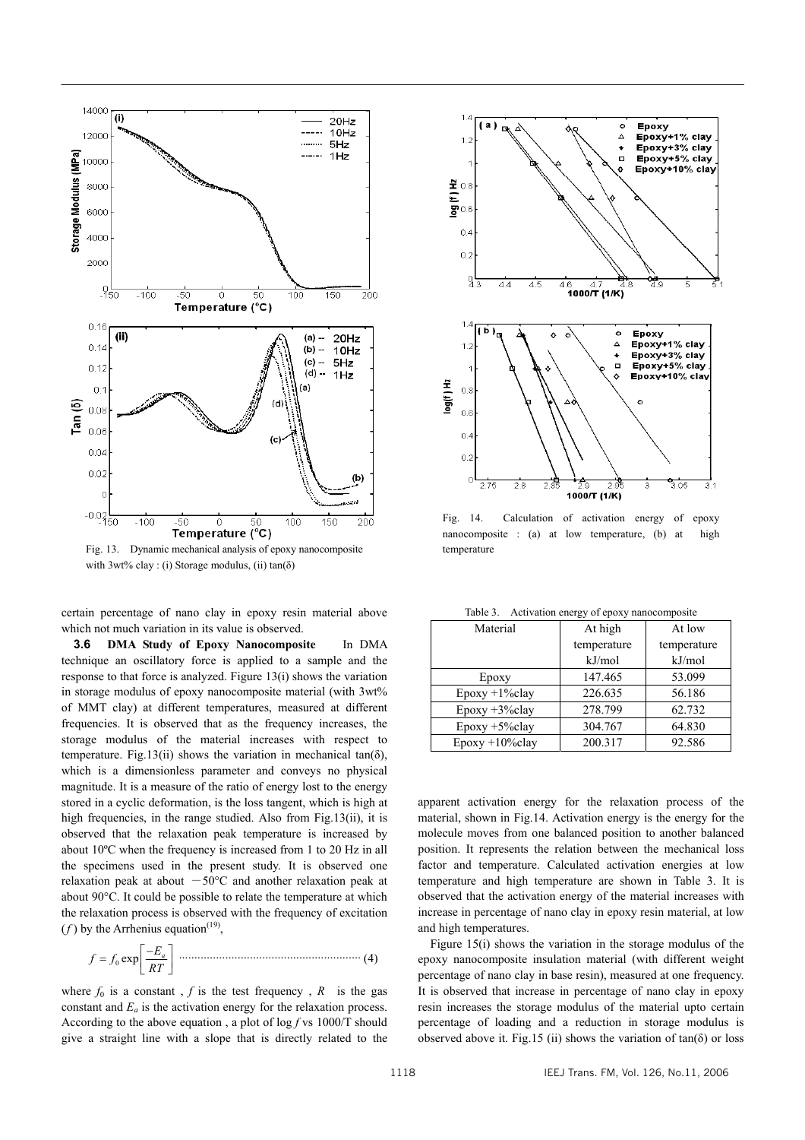

Fig. 13. Dynamic mechanical analysis of epoxy nanocomposite with  $3wt\%$  clay : (i) Storage modulus, (ii)  $tan(\delta)$ 

certain percentage of nano clay in epoxy resin material above which not much variation in its value is observed.

**3.6 DMA Study of Epoxy Nanocomposite** In DMA technique an oscillatory force is applied to a sample and the response to that force is analyzed. Figure 13(i) shows the variation in storage modulus of epoxy nanocomposite material (with 3wt% of MMT clay) at different temperatures, measured at different frequencies. It is observed that as the frequency increases, the storage modulus of the material increases with respect to temperature. Fig.13(ii) shows the variation in mechanical tan( $\delta$ ), which is a dimensionless parameter and conveys no physical magnitude. It is a measure of the ratio of energy lost to the energy stored in a cyclic deformation, is the loss tangent, which is high at high frequencies, in the range studied. Also from Fig.13(ii), it is observed that the relaxation peak temperature is increased by about 10ºC when the frequency is increased from 1 to 20 Hz in all the specimens used in the present study. It is observed one relaxation peak at about  $-50^{\circ}$ C and another relaxation peak at about 90°C. It could be possible to relate the temperature at which the relaxation process is observed with the frequency of excitation  $(f)$  by the Arrhenius equation<sup>(19)</sup>.

<sup>0</sup> exp *Ea f f RT* <sup>−</sup> <sup>=</sup> ........................................................... (4)

where  $f_0$  is a constant,  $f$  is the test frequency,  $R$  is the gas constant and  $E_a$  is the activation energy for the relaxation process. According to the above equation , a plot of log *f* vs 1000/T should give a straight line with a slope that is directly related to the



Fig. 14. Calculation of activation energy of epoxy nanocomposite : (a) at low temperature, (b) at high temperature

Table 3. Activation energy of epoxy nanocomposite

| Material          | At high     | At low      |
|-------------------|-------------|-------------|
|                   | temperature | temperature |
|                   | kJ/mol      | kJ/mol      |
| Epoxy             | 147.465     | 53.099      |
| $Epoxy + 1\%clay$ | 226.635     | 56.186      |
| $Epoxy + 3\%clay$ | 278.799     | 62.732      |
| $Epoxy + 5\%clay$ | 304.767     | 64.830      |
| $Epoxy +10\%clay$ | 200.317     | 92.586      |

apparent activation energy for the relaxation process of the material, shown in Fig.14. Activation energy is the energy for the molecule moves from one balanced position to another balanced position. It represents the relation between the mechanical loss factor and temperature. Calculated activation energies at low temperature and high temperature are shown in Table 3. It is observed that the activation energy of the material increases with increase in percentage of nano clay in epoxy resin material, at low and high temperatures.

Figure 15(i) shows the variation in the storage modulus of the epoxy nanocomposite insulation material (with different weight percentage of nano clay in base resin), measured at one frequency. It is observed that increase in percentage of nano clay in epoxy resin increases the storage modulus of the material upto certain percentage of loading and a reduction in storage modulus is observed above it. Fig.15 (ii) shows the variation of  $tan(\delta)$  or loss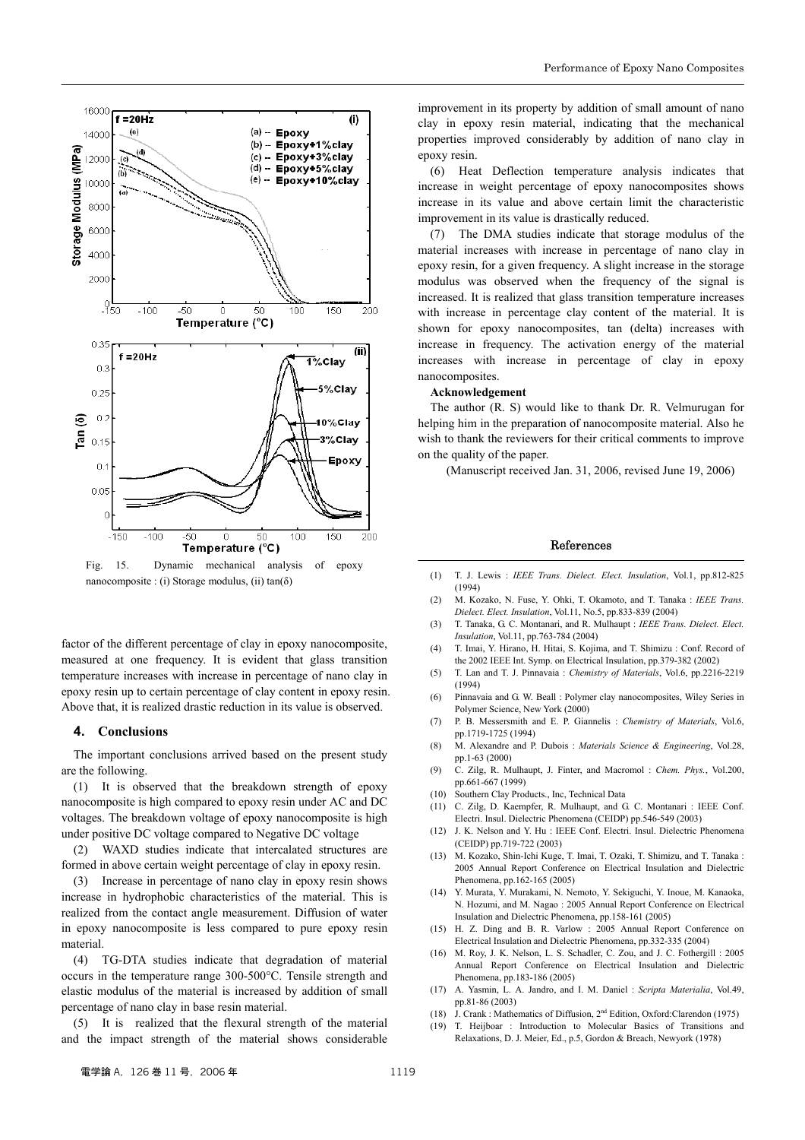

Fig. 15. Dynamic mechanical analysis of epoxy nanocomposite : (i) Storage modulus, (ii) tan(δ)

factor of the different percentage of clay in epoxy nanocomposite, measured at one frequency. It is evident that glass transition temperature increases with increase in percentage of nano clay in epoxy resin up to certain percentage of clay content in epoxy resin. Above that, it is realized drastic reduction in its value is observed.

#### **4. Conclusions**

The important conclusions arrived based on the present study are the following.

(1) It is observed that the breakdown strength of epoxy nanocomposite is high compared to epoxy resin under AC and DC voltages. The breakdown voltage of epoxy nanocomposite is high under positive DC voltage compared to Negative DC voltage

(2) WAXD studies indicate that intercalated structures are formed in above certain weight percentage of clay in epoxy resin.

(3) Increase in percentage of nano clay in epoxy resin shows increase in hydrophobic characteristics of the material. This is realized from the contact angle measurement. Diffusion of water in epoxy nanocomposite is less compared to pure epoxy resin material.

(4) TG-DTA studies indicate that degradation of material occurs in the temperature range 300-500°C. Tensile strength and elastic modulus of the material is increased by addition of small percentage of nano clay in base resin material.

(5) It is realized that the flexural strength of the material and the impact strength of the material shows considerable

improvement in its property by addition of small amount of nano clay in epoxy resin material, indicating that the mechanical properties improved considerably by addition of nano clay in epoxy resin.

(6) Heat Deflection temperature analysis indicates that increase in weight percentage of epoxy nanocomposites shows increase in its value and above certain limit the characteristic improvement in its value is drastically reduced.

(7) The DMA studies indicate that storage modulus of the material increases with increase in percentage of nano clay in epoxy resin, for a given frequency. A slight increase in the storage modulus was observed when the frequency of the signal is increased. It is realized that glass transition temperature increases with increase in percentage clay content of the material. It is shown for epoxy nanocomposites, tan (delta) increases with increase in frequency. The activation energy of the material increases with increase in percentage of clay in epoxy nanocomposites.

### **Acknowledgement**

The author (R. S) would like to thank Dr. R. Velmurugan for helping him in the preparation of nanocomposite material. Also he wish to thank the reviewers for their critical comments to improve on the quality of the paper.

(Manuscript received Jan. 31, 2006, revised June 19, 2006)

#### References

- (1) T. J. Lewis : *IEEE Trans. Dielect. Elect. Insulation*, Vol.1, pp.812-825 (1994)
- (2) M. Kozako, N. Fuse, Y. Ohki, T. Okamoto, and T. Tanaka : *IEEE Trans. Dielect. Elect. Insulation*, Vol.11, No.5, pp.833-839 (2004)
- (3) T. Tanaka, G. C. Montanari, and R. Mulhaupt : *IEEE Trans. Dielect. Elect. Insulation*, Vol.11, pp.763-784 (2004)
- (4) T. Imai, Y. Hirano, H. Hitai, S. Kojima, and T. Shimizu : Conf. Record of the 2002 IEEE Int. Symp. on Electrical Insulation, pp.379-382 (2002)
- (5) T. Lan and T. J. Pinnavaia : *Chemistry of Materials*, Vol.6, pp.2216-2219 (1994)
- (6) Pinnavaia and G. W. Beall : Polymer clay nanocomposites, Wiley Series in Polymer Science, New York (2000)
- (7) P. B. Messersmith and E. P. Giannelis : *Chemistry of Materials*, Vol.6, pp.1719-1725 (1994)
- (8) M. Alexandre and P. Dubois : *Materials Science & Engineering*, Vol.28, pp.1-63 (2000)
- (9) C. Zilg, R. Mulhaupt, J. Finter, and Macromol : *Chem. Phys.*, Vol.200, pp.661-667 (1999)
- (10) Southern Clay Products., Inc, Technical Data
- (11) C. Zilg, D. Kaempfer, R. Mulhaupt, and G. C. Montanari : IEEE Conf. Electri. Insul. Dielectric Phenomena (CEIDP) pp.546-549 (2003)
- (12) J. K. Nelson and Y. Hu : IEEE Conf. Electri. Insul. Dielectric Phenomena (CEIDP) pp.719-722 (2003)
- (13) M. Kozako, Shin-Ichi Kuge, T. Imai, T. Ozaki, T. Shimizu, and T. Tanaka : 2005 Annual Report Conference on Electrical Insulation and Dielectric Phenomena, pp.162-165 (2005)
- (14) Y. Murata, Y. Murakami, N. Nemoto, Y. Sekiguchi, Y. Inoue, M. Kanaoka, N. Hozumi, and M. Nagao : 2005 Annual Report Conference on Electrical Insulation and Dielectric Phenomena, pp.158-161 (2005)
- (15) H. Z. Ding and B. R. Varlow : 2005 Annual Report Conference on Electrical Insulation and Dielectric Phenomena, pp.332-335 (2004)
- (16) M. Roy, J. K. Nelson, L. S. Schadler, C. Zou, and J. C. Fothergill : 2005 Annual Report Conference on Electrical Insulation and Dielectric Phenomena, pp.183-186 (2005)
- (17) A. Yasmin, L. A. Jandro, and I. M. Daniel : *Scripta Materialia*, Vol.49, pp.81-86 (2003)
- (18) J. Crank : Mathematics of Diffusion, 2nd Edition, Oxford:Clarendon (1975)
- (19) T. Heijboar : Introduction to Molecular Basics of Transitions and Relaxations, D. J. Meier, Ed., p.5, Gordon & Breach, Newyork (1978)